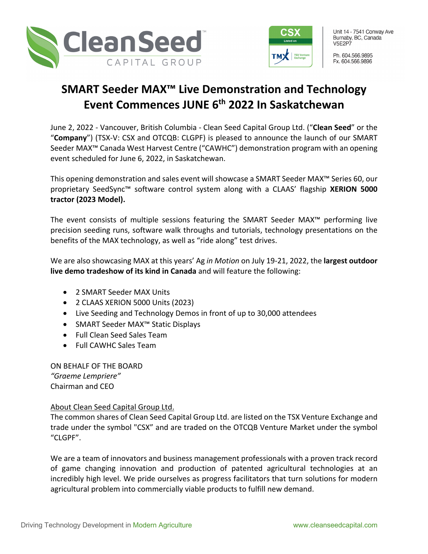



Unit 14 - 7541 Conway Ave Burnaby, BC, Canada **V5F2P7** 

Ph. 604.566.9895 Fx. 604.566.9896

## **SMART Seeder MAX™ Live Demonstration and Technology Event Commences JUNE 6th 2022 In Saskatchewan**

June 2, 2022 - Vancouver, British Columbia - Clean Seed Capital Group Ltd. ("**Clean Seed**" or the "**Company**") (TSX-V: CSX and OTCQB: CLGPF) is pleased to announce the launch of our SMART Seeder MAX™ Canada West Harvest Centre ("CAWHC") demonstration program with an opening event scheduled for June 6, 2022, in Saskatchewan.

This opening demonstration and sales event will showcase a SMART Seeder MAX™ Series 60, our proprietary SeedSync™ software control system along with a CLAAS' flagship **XERION 5000 tractor (2023 Model).**

The event consists of multiple sessions featuring the SMART Seeder MAX™ performing live precision seeding runs, software walk throughs and tutorials, technology presentations on the benefits of the MAX technology, as well as "ride along" test drives.

We are also showcasing MAX at this years' Ag *in Motion* on July 19-21, 2022, the **largest outdoor live demo tradeshow of its kind in Canada** and will feature the following:

- 2 SMART Seeder MAX Units
- 2 CLAAS XERION 5000 Units (2023)
- Live Seeding and Technology Demos in front of up to 30,000 attendees
- SMART Seeder MAX™ Static Displays
- Full Clean Seed Sales Team
- Full CAWHC Sales Team

ON BEHALF OF THE BOARD *"Graeme Lempriere"* Chairman and CEO

## About Clean Seed Capital Group Ltd.

The common shares of Clean Seed Capital Group Ltd. are listed on the TSX Venture Exchange and trade under the symbol "CSX" and are traded on the OTCQB Venture Market under the symbol "CLGPF".

We are a team of innovators and business management professionals with a proven track record of game changing innovation and production of patented agricultural technologies at an incredibly high level. We pride ourselves as progress facilitators that turn solutions for modern agricultural problem into commercially viable products to fulfill new demand.